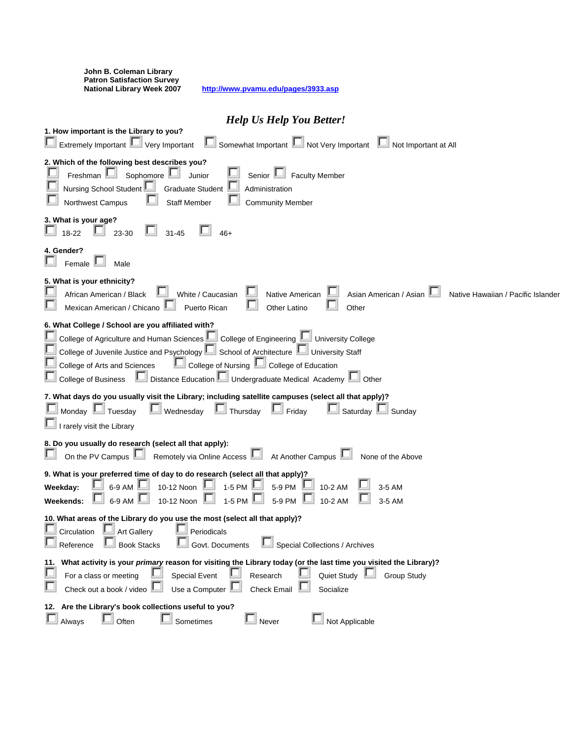| John B. Coleman Library<br><b>Patron Satisfaction Survey</b><br><b>National Library Week 2007</b><br>http://www.pvamu.edu/pages/3933.asp                                                                                                                                                                                                                                                                     |
|--------------------------------------------------------------------------------------------------------------------------------------------------------------------------------------------------------------------------------------------------------------------------------------------------------------------------------------------------------------------------------------------------------------|
| <b>Help Us Help You Better!</b>                                                                                                                                                                                                                                                                                                                                                                              |
| 1. How important is the Library to you?<br>Somewhat Important III Not Very Important III Not Important at All<br>Extremely Important UVery Important                                                                                                                                                                                                                                                         |
| 2. Which of the following best describes you?<br>Freshman<br>Sophomore<br><b>Faculty Member</b><br>Junior<br>Senior L<br>Nursing School Student<br><b>Graduate Student</b><br>Administration<br>Northwest Campus<br><b>Staff Member</b><br><b>Community Member</b>                                                                                                                                           |
| 3. What is your age?<br>18-22<br>23-30<br>$31 - 45$                                                                                                                                                                                                                                                                                                                                                          |
| 4. Gender?<br>Female $\mathbb L$<br>Male                                                                                                                                                                                                                                                                                                                                                                     |
| 5. What is your ethnicity?<br>White / Caucasian<br>Asian American / Asian<br>African American / Black<br>Native Hawaiian / Pacific Islander<br>Native American<br>Mexican American / Chicano<br>Puerto Rican<br>Other Latino<br>Other                                                                                                                                                                        |
| 6. What College / School are you affiliated with?<br>College of Agriculture and Human Sciences   College of Engineering   University College<br>College of Juvenile Justice and Psychology   School of Architecture   University Staff<br>College of Nursing Lul College of Education<br>College of Arts and Sciences<br>I Distance Education U Undergraduate Medical Academy D Other<br>College of Business |
| 7. What days do you usually visit the Library; including satellite campuses (select all that apply)?<br>$\Box$ Thursday<br>Saturday LU Sunday<br>Monday $\Box$ Tuesday<br>$\mathbb{L}$ Wednesday<br>$\Box$ Friday<br>I rarely visit the Library                                                                                                                                                              |
| 8. Do you usually do research (select all that apply):<br>On the PV Campus <b>Let all</b> Remotely via Online Access <b>Let all</b> At Another Campus $\blacksquare$<br>None of the Above                                                                                                                                                                                                                    |
| 9. What is your preferred time of day to do research (select all that apply)?<br>10-12 Noon $\Box$ 1-5 PM $\Box$<br>□<br>6-9 AM $\Box$<br>5-9 PM<br>10-2 AM<br>Weekday:<br>3-5 AM<br>1-5 PM<br>6-9 AM<br>10-12 Noon<br>5-9 PM<br>10-2 AM<br>Weekends:<br>3-5 AM                                                                                                                                              |
| 10. What areas of the Library do you use the most (select all that apply)?<br>Circulation<br>Art Gallery<br>Periodicals<br>Special Collections / Archives<br>Reference<br><b>Book Stacks</b><br>Govt. Documents                                                                                                                                                                                              |
| What activity is your primary reason for visiting the Library today (or the last time you visited the Library)?<br>11.<br>Quiet Study<br><b>Special Event</b><br><b>Group Study</b><br>For a class or meeting<br>Research<br>Check out a book / video<br>Use a Computer<br><b>Check Email</b><br>Socialize                                                                                                   |
| 12. Are the Library's book collections useful to you?<br>L<br>Not Applicable<br>Often<br>Sometimes<br>Never<br>Always                                                                                                                                                                                                                                                                                        |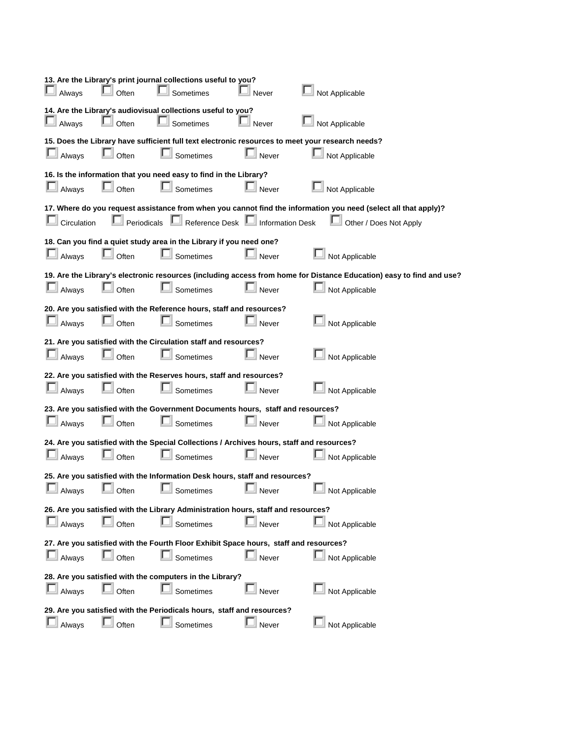| Always                                                                                                                                                                                                          | Often      | 13. Are the Library's print journal collections useful to you?<br>Sometimes                            | Never              | Not Applicable                                                                                                                         |  |  |
|-----------------------------------------------------------------------------------------------------------------------------------------------------------------------------------------------------------------|------------|--------------------------------------------------------------------------------------------------------|--------------------|----------------------------------------------------------------------------------------------------------------------------------------|--|--|
| Always                                                                                                                                                                                                          | Often      | 14. Are the Library's audiovisual collections useful to you?<br>Sometimes                              | Never              | Not Applicable                                                                                                                         |  |  |
| Always                                                                                                                                                                                                          | Often      | Sometimes                                                                                              | Never              | 15. Does the Library have sufficient full text electronic resources to meet your research needs?<br>Not Applicable                     |  |  |
| Always                                                                                                                                                                                                          | L<br>Often | 16. Is the information that you need easy to find in the Library?<br>Sometimes                         | $\mathbb{L}$ Never | Not Applicable                                                                                                                         |  |  |
|                                                                                                                                                                                                                 |            |                                                                                                        |                    |                                                                                                                                        |  |  |
| 17. Where do you request assistance from when you cannot find the information you need (select all that apply)?<br>L<br>Reference Desk Information Desk<br>Circulation<br>Periodicals<br>Other / Does Not Apply |            |                                                                                                        |                    |                                                                                                                                        |  |  |
| Always                                                                                                                                                                                                          | ш<br>Often | 18. Can you find a quiet study area in the Library if you need one?<br>Sometimes                       | Never              | Not Applicable                                                                                                                         |  |  |
| Always                                                                                                                                                                                                          | Often      | Sometimes                                                                                              | Never              | 19. Are the Library's electronic resources (including access from home for Distance Education) easy to find and use?<br>Not Applicable |  |  |
| Always                                                                                                                                                                                                          | Often      | 20. Are you satisfied with the Reference hours, staff and resources?<br>Sometimes                      | Never              | Not Applicable                                                                                                                         |  |  |
| Always                                                                                                                                                                                                          | Often      | 21. Are you satisfied with the Circulation staff and resources?<br>Sometimes                           | Never              | Not Applicable                                                                                                                         |  |  |
| Always                                                                                                                                                                                                          | Often      | 22. Are you satisfied with the Reserves hours, staff and resources?<br>Sometimes                       | Never              | Not Applicable                                                                                                                         |  |  |
| Always                                                                                                                                                                                                          | Often      | 23. Are you satisfied with the Government Documents hours, staff and resources?<br>Sometimes           | Never              | Not Applicable                                                                                                                         |  |  |
| Always                                                                                                                                                                                                          | Often      | 24. Are you satisfied with the Special Collections / Archives hours, staff and resources?<br>Sometimes | Never              | Not Applicable                                                                                                                         |  |  |
| Always                                                                                                                                                                                                          | Often      | 25. Are you satisfied with the Information Desk hours, staff and resources?<br>Sometimes               | Never              | Not Applicable                                                                                                                         |  |  |
| Always                                                                                                                                                                                                          | Often      | 26. Are you satisfied with the Library Administration hours, staff and resources?<br>Sometimes         | Never              | Not Applicable                                                                                                                         |  |  |
| Always                                                                                                                                                                                                          | Often      | 27. Are you satisfied with the Fourth Floor Exhibit Space hours, staff and resources?<br>Sometimes     | Never              | Not Applicable                                                                                                                         |  |  |
| 28. Are you satisfied with the computers in the Library?                                                                                                                                                        |            |                                                                                                        |                    |                                                                                                                                        |  |  |
| Always                                                                                                                                                                                                          | Often      | Sometimes                                                                                              | Never              | Not Applicable                                                                                                                         |  |  |
| 29. Are you satisfied with the Periodicals hours, staff and resources?                                                                                                                                          |            |                                                                                                        |                    |                                                                                                                                        |  |  |
| Always                                                                                                                                                                                                          | Often      | Sometimes                                                                                              | Never              | Not Applicable                                                                                                                         |  |  |